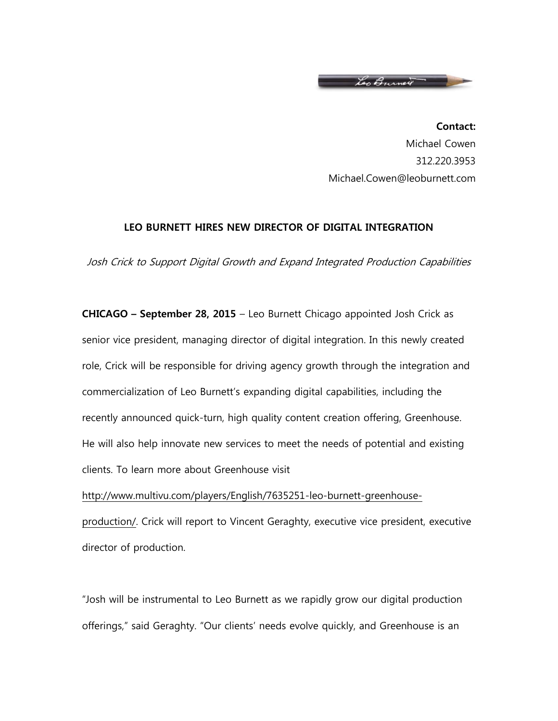

**Contact:** Michael Cowen 312.220.3953 Michael.Cowen@leoburnett.com

## **LEO BURNETT HIRES NEW DIRECTOR OF DIGITAL INTEGRATION**

Josh Crick to Support Digital Growth and Expand Integrated Production Capabilities

**CHICAGO – September 28, 2015** – Leo Burnett Chicago appointed Josh Crick as senior vice president, managing director of digital integration. In this newly created role, Crick will be responsible for driving agency growth through the integration and commercialization of Leo Burnett's expanding digital capabilities, including the recently announced quick-turn, high quality content creation offering, Greenhouse. He will also help innovate new services to meet the needs of potential and existing clients. To learn more about Greenhouse visit

[http://www.multivu.com/players/English/7635251-leo-burnett-greenhouse](http://www.multivu.com/players/English/7635251-leo-burnett-greenhouse-production/)[production/.](http://www.multivu.com/players/English/7635251-leo-burnett-greenhouse-production/) Crick will report to Vincent Geraghty, executive vice president, executive director of production.

"Josh will be instrumental to Leo Burnett as we rapidly grow our digital production offerings," said Geraghty. "Our clients' needs evolve quickly, and Greenhouse is an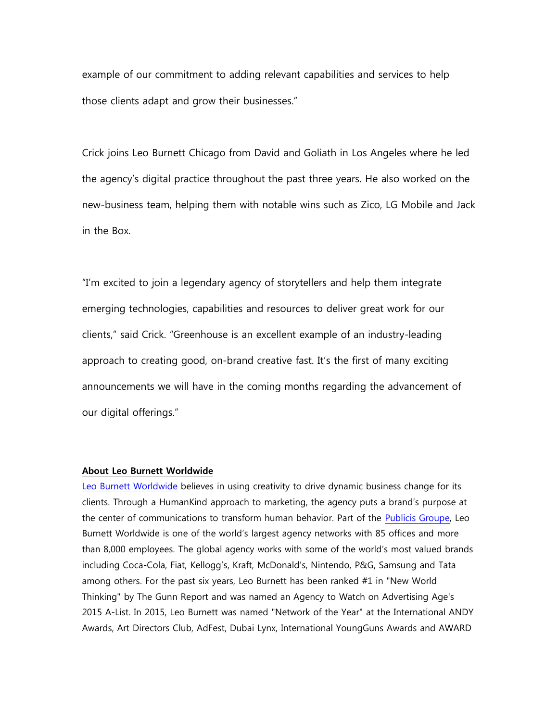example of our commitment to adding relevant capabilities and services to help those clients adapt and grow their businesses."

Crick joins Leo Burnett Chicago from David and Goliath in Los Angeles where he led the agency's digital practice throughout the past three years. He also worked on the new-business team, helping them with notable wins such as Zico, LG Mobile and Jack in the Box.

"I'm excited to join a legendary agency of storytellers and help them integrate emerging technologies, capabilities and resources to deliver great work for our clients," said Crick. "Greenhouse is an excellent example of an industry-leading approach to creating good, on-brand creative fast. It's the first of many exciting announcements we will have in the coming months regarding the advancement of our digital offerings."

## **About Leo Burnett Worldwide**

[Leo Burnett Worldwide](http://leoburnett.com/) believes in using creativity to drive dynamic business change for its clients. Through a HumanKind approach to marketing, the agency puts a brand's purpose at the center of communications to transform human behavior. Part of the [Publicis Groupe,](http://www.publicisgroupe.com/) Leo Burnett Worldwide is one of the world's largest agency networks with 85 offices and more than 8,000 employees. The global agency works with some of the world's most valued brands including Coca-Cola, Fiat, Kellogg's, Kraft, McDonald's, Nintendo, P&G, Samsung and Tata among others. For the past six years, Leo Burnett has been ranked #1 in "New World Thinking" by The Gunn Report and was named an Agency to Watch on Advertising Age's 2015 A-List. In 2015, Leo Burnett was named "Network of the Year" at the International ANDY Awards, Art Directors Club, AdFest, Dubai Lynx, International YoungGuns Awards and AWARD